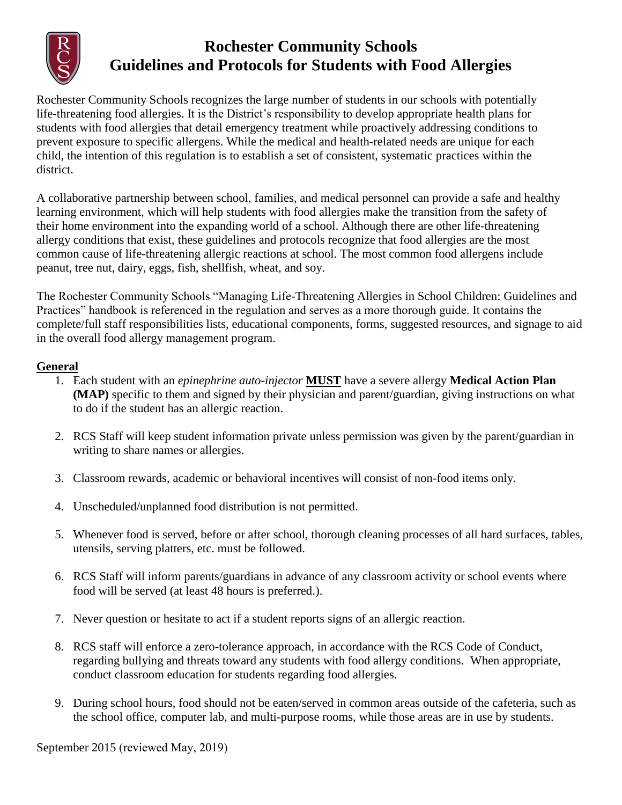

# **Rochester Community Schools Guidelines and Protocols for Students with Food Allergies**

Rochester Community Schools recognizes the large number of students in our schools with potentially life-threatening food allergies. It is the District's responsibility to develop appropriate health plans for students with food allergies that detail emergency treatment while proactively addressing conditions to prevent exposure to specific allergens. While the medical and health-related needs are unique for each child, the intention of this regulation is to establish a set of consistent, systematic practices within the district.

A collaborative partnership between school, families, and medical personnel can provide a safe and healthy learning environment, which will help students with food allergies make the transition from the safety of their home environment into the expanding world of a school. Although there are other life-threatening allergy conditions that exist, these guidelines and protocols recognize that food allergies are the most common cause of life-threatening allergic reactions at school. The most common food allergens include peanut, tree nut, dairy, eggs, fish, shellfish, wheat, and soy.

The Rochester Community Schools "Managing Life-Threatening Allergies in School Children: Guidelines and Practices" handbook is referenced in the regulation and serves as a more thorough guide. It contains the complete/full staff responsibilities lists, educational components, forms, suggested resources, and signage to aid in the overall food allergy management program.

# **General**

- 1. Each student with an *epinephrine auto-injector* **MUST** have a severe allergy **Medical Action Plan (MAP)** specific to them and signed by their physician and parent/guardian, giving instructions on what to do if the student has an allergic reaction.
- 2. RCS Staff will keep student information private unless permission was given by the parent/guardian in writing to share names or allergies.
- 3. Classroom rewards, academic or behavioral incentives will consist of non-food items only.
- 4. Unscheduled/unplanned food distribution is not permitted.
- 5. Whenever food is served, before or after school, thorough cleaning processes of all hard surfaces, tables, utensils, serving platters, etc. must be followed.
- 6. RCS Staff will inform parents/guardians in advance of any classroom activity or school events where food will be served (at least 48 hours is preferred.).
- 7. Never question or hesitate to act if a student reports signs of an allergic reaction.
- 8. RCS staff will enforce a zero-tolerance approach, in accordance with the RCS Code of Conduct, regarding bullying and threats toward any students with food allergy conditions. When appropriate, conduct classroom education for students regarding food allergies.
- 9. During school hours, food should not be eaten/served in common areas outside of the cafeteria, such as the school office, computer lab, and multi-purpose rooms, while those areas are in use by students.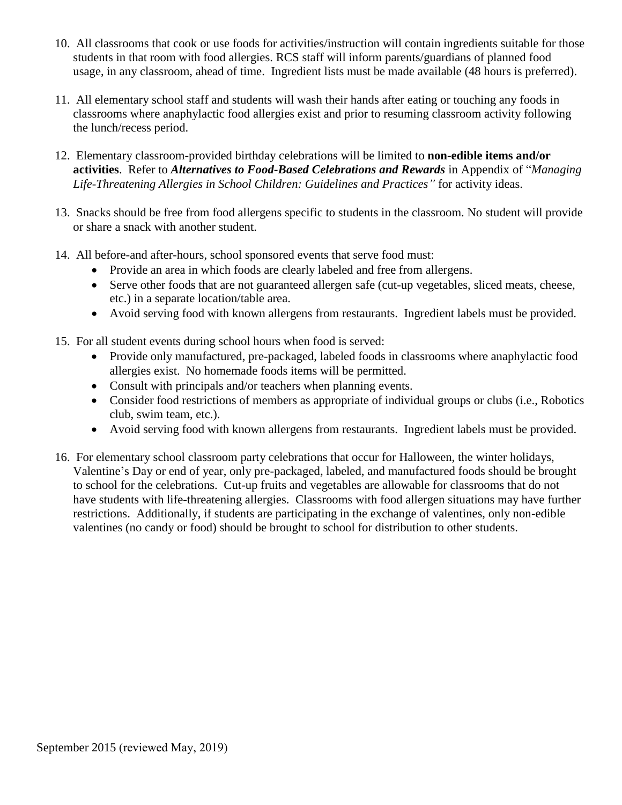- 10. All classrooms that cook or use foods for activities/instruction will contain ingredients suitable for those students in that room with food allergies. RCS staff will inform parents/guardians of planned food usage, in any classroom, ahead of time. Ingredient lists must be made available (48 hours is preferred).
- 11. All elementary school staff and students will wash their hands after eating or touching any foods in classrooms where anaphylactic food allergies exist and prior to resuming classroom activity following the lunch/recess period.
- 12. Elementary classroom-provided birthday celebrations will be limited to **non-edible items and/or activities**. Refer to *Alternatives to Food-Based Celebrations and Rewards* in Appendix of "*Managing Life-Threatening Allergies in School Children: Guidelines and Practices"* for activity ideas.
- 13. Snacks should be free from food allergens specific to students in the classroom. No student will provide or share a snack with another student.
- 14. All before-and after-hours, school sponsored events that serve food must:
	- Provide an area in which foods are clearly labeled and free from allergens.
	- Serve other foods that are not guaranteed allergen safe (cut-up vegetables, sliced meats, cheese, etc.) in a separate location/table area.
	- Avoid serving food with known allergens from restaurants. Ingredient labels must be provided.
- 15. For all student events during school hours when food is served:
	- Provide only manufactured, pre-packaged, labeled foods in classrooms where anaphylactic food allergies exist. No homemade foods items will be permitted.
	- Consult with principals and/or teachers when planning events.
	- Consider food restrictions of members as appropriate of individual groups or clubs (i.e., Robotics club, swim team, etc.).
	- Avoid serving food with known allergens from restaurants. Ingredient labels must be provided.
- 16. For elementary school classroom party celebrations that occur for Halloween, the winter holidays, Valentine's Day or end of year, only pre-packaged, labeled, and manufactured foods should be brought to school for the celebrations. Cut-up fruits and vegetables are allowable for classrooms that do not have students with life-threatening allergies. Classrooms with food allergen situations may have further restrictions. Additionally, if students are participating in the exchange of valentines, only non-edible valentines (no candy or food) should be brought to school for distribution to other students.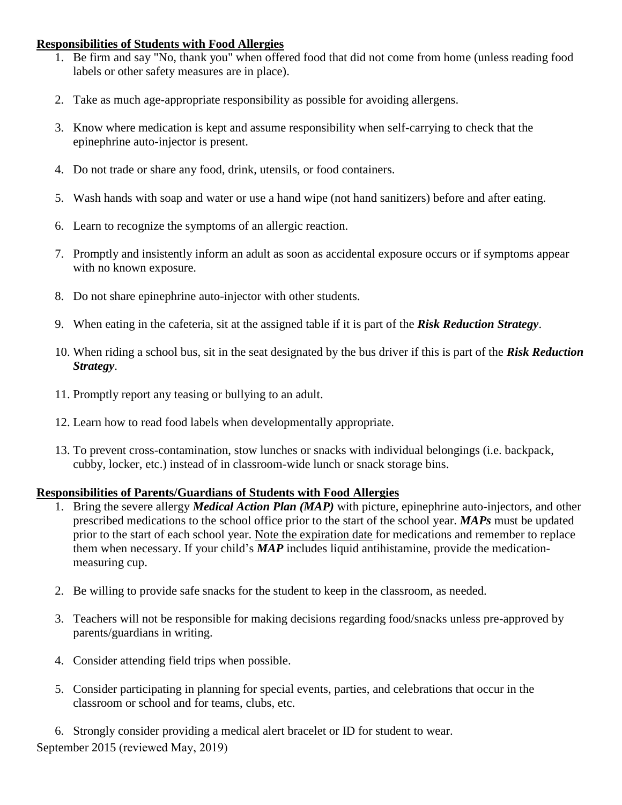#### **Responsibilities of Students with Food Allergies**

- 1. Be firm and say "No, thank you" when offered food that did not come from home (unless reading food labels or other safety measures are in place).
- 2. Take as much age-appropriate responsibility as possible for avoiding allergens.
- 3. Know where medication is kept and assume responsibility when self-carrying to check that the epinephrine auto-injector is present.
- 4. Do not trade or share any food, drink, utensils, or food containers.
- 5. Wash hands with soap and water or use a hand wipe (not hand sanitizers) before and after eating.
- 6. Learn to recognize the symptoms of an allergic reaction.
- 7. Promptly and insistently inform an adult as soon as accidental exposure occurs or if symptoms appear with no known exposure.
- 8. Do not share epinephrine auto-injector with other students.
- 9. When eating in the cafeteria, sit at the assigned table if it is part of the *Risk Reduction Strategy*.
- 10. When riding a school bus, sit in the seat designated by the bus driver if this is part of the *Risk Reduction Strategy*.
- 11. Promptly report any teasing or bullying to an adult.
- 12. Learn how to read food labels when developmentally appropriate.
- 13. To prevent cross-contamination, stow lunches or snacks with individual belongings (i.e. backpack, cubby, locker, etc.) instead of in classroom-wide lunch or snack storage bins.

#### **Responsibilities of Parents/Guardians of Students with Food Allergies**

- 1. Bring the severe allergy *Medical Action Plan (MAP)* with picture, epinephrine auto-injectors, and other prescribed medications to the school office prior to the start of the school year. *MAPs* must be updated prior to the start of each school year. Note the expiration date for medications and remember to replace them when necessary. If your child's *MAP* includes liquid antihistamine, provide the medicationmeasuring cup.
- 2. Be willing to provide safe snacks for the student to keep in the classroom, as needed.
- 3. Teachers will not be responsible for making decisions regarding food/snacks unless pre-approved by parents/guardians in writing.
- 4. Consider attending field trips when possible.
- 5. Consider participating in planning for special events, parties, and celebrations that occur in the classroom or school and for teams, clubs, etc.

September 2015 (reviewed May, 2019) 6. Strongly consider providing a medical alert bracelet or ID for student to wear.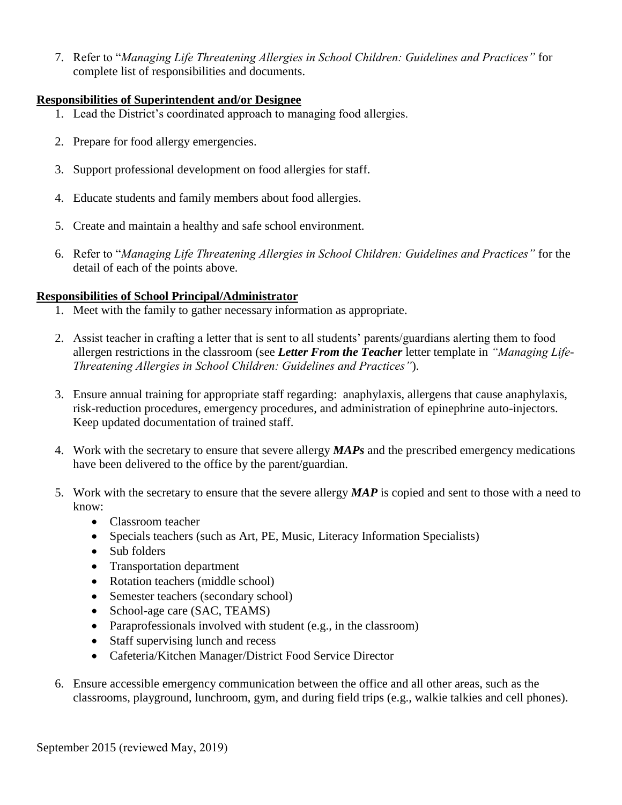7. Refer to "*Managing Life Threatening Allergies in School Children: Guidelines and Practices"* for complete list of responsibilities and documents.

## **Responsibilities of Superintendent and/or Designee**

- 1. Lead the District's coordinated approach to managing food allergies.
- 2. Prepare for food allergy emergencies.
- 3. Support professional development on food allergies for staff.
- 4. Educate students and family members about food allergies.
- 5. Create and maintain a healthy and safe school environment.
- 6. Refer to "*Managing Life Threatening Allergies in School Children: Guidelines and Practices"* for the detail of each of the points above.

# **Responsibilities of School Principal/Administrator**

- 1. Meet with the family to gather necessary information as appropriate.
- 2. Assist teacher in crafting a letter that is sent to all students' parents/guardians alerting them to food allergen restrictions in the classroom (see *Letter From the Teacher* letter template in *"Managing Life-Threatening Allergies in School Children: Guidelines and Practices"*).
- 3. Ensure annual training for appropriate staff regarding: anaphylaxis, allergens that cause anaphylaxis, risk-reduction procedures, emergency procedures, and administration of epinephrine auto-injectors. Keep updated documentation of trained staff.
- 4. Work with the secretary to ensure that severe allergy *MAPs* and the prescribed emergency medications have been delivered to the office by the parent/guardian.
- 5. Work with the secretary to ensure that the severe allergy *MAP* is copied and sent to those with a need to know:
	- Classroom teacher
	- Specials teachers (such as Art, PE, Music, Literacy Information Specialists)
	- Sub folders
	- Transportation department
	- Rotation teachers (middle school)
	- Semester teachers (secondary school)
	- School-age care (SAC, TEAMS)
	- Paraprofessionals involved with student (e.g., in the classroom)
	- Staff supervising lunch and recess
	- Cafeteria/Kitchen Manager/District Food Service Director
- 6. Ensure accessible emergency communication between the office and all other areas, such as the classrooms, playground, lunchroom, gym, and during field trips (e.g., walkie talkies and cell phones).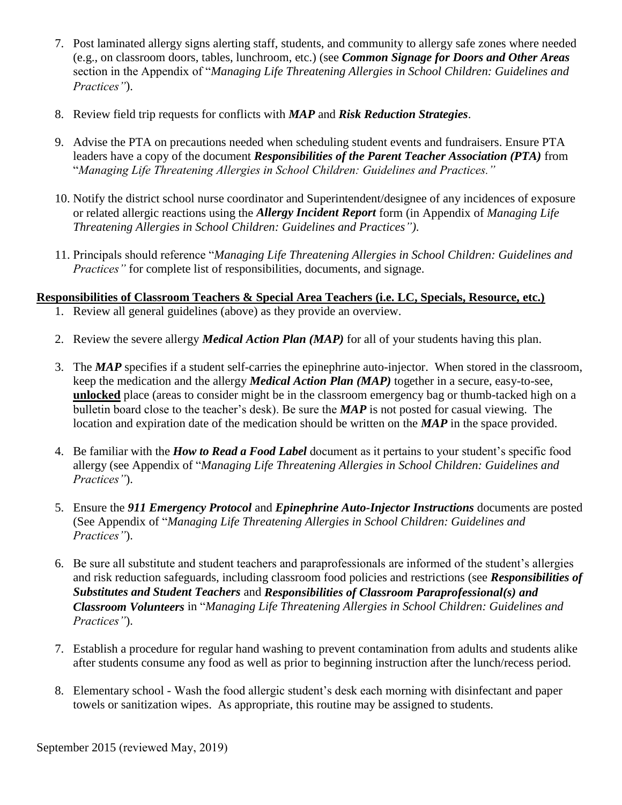- 7. Post laminated allergy signs alerting staff, students, and community to allergy safe zones where needed (e.g., on classroom doors, tables, lunchroom, etc.) (see *Common Signage for Doors and Other Areas* section in the Appendix of "*Managing Life Threatening Allergies in School Children: Guidelines and Practices"*).
- 8. Review field trip requests for conflicts with *MAP* and *Risk Reduction Strategies*.
- 9. Advise the PTA on precautions needed when scheduling student events and fundraisers. Ensure PTA leaders have a copy of the document *Responsibilities of the Parent Teacher Association (PTA)* from "*Managing Life Threatening Allergies in School Children: Guidelines and Practices."*
- 10. Notify the district school nurse coordinator and Superintendent/designee of any incidences of exposure or related allergic reactions using the *Allergy Incident Report* form (in Appendix of *Managing Life Threatening Allergies in School Children: Guidelines and Practices")*.
- 11. Principals should reference "*Managing Life Threatening Allergies in School Children: Guidelines and Practices*" for complete list of responsibilities, documents, and signage.

# **Responsibilities of Classroom Teachers & Special Area Teachers (i.e. LC, Specials, Resource, etc.)**

- 1. Review all general guidelines (above) as they provide an overview.
- 2. Review the severe allergy *Medical Action Plan (MAP)* for all of your students having this plan.
- 3. The *MAP* specifies if a student self-carries the epinephrine auto-injector. When stored in the classroom, keep the medication and the allergy *Medical Action Plan (MAP)* together in a secure, easy-to-see, **unlocked** place (areas to consider might be in the classroom emergency bag or thumb-tacked high on a bulletin board close to the teacher's desk). Be sure the *MAP* is not posted for casual viewing. The location and expiration date of the medication should be written on the *MAP* in the space provided.
- 4. Be familiar with the *How to Read a Food Label* document as it pertains to your student's specific food allergy (see Appendix of "*Managing Life Threatening Allergies in School Children: Guidelines and Practices"*).
- 5. Ensure the *911 Emergency Protocol* and *Epinephrine Auto-Injector Instructions* documents are posted (See Appendix of "*Managing Life Threatening Allergies in School Children: Guidelines and Practices"*).
- 6. Be sure all substitute and student teachers and paraprofessionals are informed of the student's allergies and risk reduction safeguards, including classroom food policies and restrictions (see *Responsibilities of Substitutes and Student Teachers* and *Responsibilities of Classroom Paraprofessional(s) and Classroom Volunteers* in "*Managing Life Threatening Allergies in School Children: Guidelines and Practices"*).
- 7. Establish a procedure for regular hand washing to prevent contamination from adults and students alike after students consume any food as well as prior to beginning instruction after the lunch/recess period.
- 8. Elementary school Wash the food allergic student's desk each morning with disinfectant and paper towels or sanitization wipes. As appropriate, this routine may be assigned to students.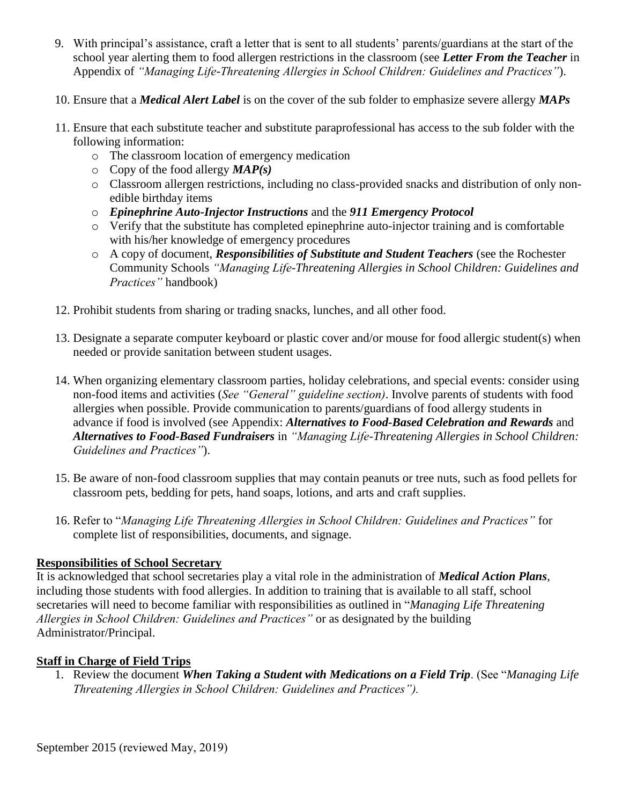- 9. With principal's assistance, craft a letter that is sent to all students' parents/guardians at the start of the school year alerting them to food allergen restrictions in the classroom (see *Letter From the Teacher* in Appendix of *"Managing Life-Threatening Allergies in School Children: Guidelines and Practices"*).
- 10. Ensure that a *Medical Alert Label* is on the cover of the sub folder to emphasize severe allergy *MAPs*
- 11. Ensure that each substitute teacher and substitute paraprofessional has access to the sub folder with the following information:
	- o The classroom location of emergency medication
	- o Copy of the food allergy *MAP(s)*
	- o Classroom allergen restrictions, including no class-provided snacks and distribution of only nonedible birthday items
	- o *Epinephrine Auto-Injector Instructions* and the *911 Emergency Protocol*
	- o Verify that the substitute has completed epinephrine auto-injector training and is comfortable with his/her knowledge of emergency procedures
	- o A copy of document, *Responsibilities of Substitute and Student Teachers* (see the Rochester Community Schools *"Managing Life-Threatening Allergies in School Children: Guidelines and Practices"* handbook)
- 12. Prohibit students from sharing or trading snacks, lunches, and all other food.
- 13. Designate a separate computer keyboard or plastic cover and/or mouse for food allergic student(s) when needed or provide sanitation between student usages.
- 14. When organizing elementary classroom parties, holiday celebrations, and special events: consider using non-food items and activities (*See "General" guideline section)*. Involve parents of students with food allergies when possible. Provide communication to parents/guardians of food allergy students in advance if food is involved (see Appendix: *Alternatives to Food-Based Celebration and Rewards* and *Alternatives to Food-Based Fundraisers* in *"Managing Life-Threatening Allergies in School Children: Guidelines and Practices"*).
- 15. Be aware of non-food classroom supplies that may contain peanuts or tree nuts, such as food pellets for classroom pets, bedding for pets, hand soaps, lotions, and arts and craft supplies.
- 16. Refer to "*Managing Life Threatening Allergies in School Children: Guidelines and Practices"* for complete list of responsibilities, documents, and signage.

## **Responsibilities of School Secretary**

It is acknowledged that school secretaries play a vital role in the administration of *Medical Action Plans*, including those students with food allergies. In addition to training that is available to all staff, school secretaries will need to become familiar with responsibilities as outlined in "*Managing Life Threatening Allergies in School Children: Guidelines and Practices"* or as designated by the building Administrator/Principal.

## **Staff in Charge of Field Trips**

1. Review the document *When Taking a Student with Medications on a Field Trip*. (See "*Managing Life Threatening Allergies in School Children: Guidelines and Practices").*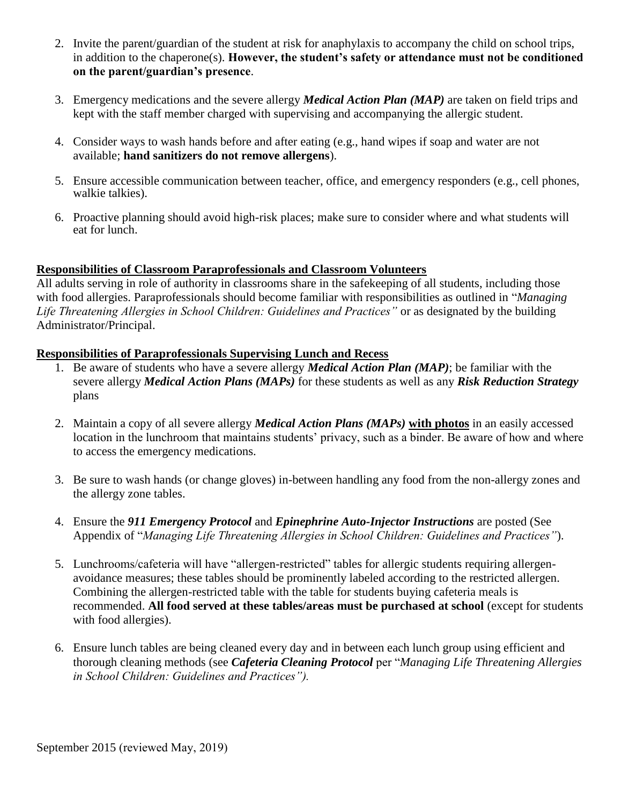- 2. Invite the parent/guardian of the student at risk for anaphylaxis to accompany the child on school trips, in addition to the chaperone(s). **However, the student's safety or attendance must not be conditioned on the parent/guardian's presence**.
- 3. Emergency medications and the severe allergy *Medical Action Plan (MAP)* are taken on field trips and kept with the staff member charged with supervising and accompanying the allergic student.
- 4. Consider ways to wash hands before and after eating (e.g., hand wipes if soap and water are not available; **hand sanitizers do not remove allergens**).
- 5. Ensure accessible communication between teacher, office, and emergency responders (e.g., cell phones, walkie talkies).
- 6. Proactive planning should avoid high-risk places; make sure to consider where and what students will eat for lunch.

#### **Responsibilities of Classroom Paraprofessionals and Classroom Volunteers**

All adults serving in role of authority in classrooms share in the safekeeping of all students, including those with food allergies. Paraprofessionals should become familiar with responsibilities as outlined in "*Managing Life Threatening Allergies in School Children: Guidelines and Practices"* or as designated by the building Administrator/Principal.

#### **Responsibilities of Paraprofessionals Supervising Lunch and Recess**

- 1. Be aware of students who have a severe allergy *Medical Action Plan (MAP)*; be familiar with the severe allergy *Medical Action Plans (MAPs)* for these students as well as any *Risk Reduction Strategy* plans
- 2. Maintain a copy of all severe allergy *Medical Action Plans (MAPs)* **with photos** in an easily accessed location in the lunchroom that maintains students' privacy, such as a binder. Be aware of how and where to access the emergency medications.
- 3. Be sure to wash hands (or change gloves) in-between handling any food from the non-allergy zones and the allergy zone tables.
- 4. Ensure the *911 Emergency Protocol* and *Epinephrine Auto-Injector Instructions* are posted (See Appendix of "*Managing Life Threatening Allergies in School Children: Guidelines and Practices"*).
- 5. Lunchrooms/cafeteria will have "allergen-restricted" tables for allergic students requiring allergenavoidance measures; these tables should be prominently labeled according to the restricted allergen. Combining the allergen-restricted table with the table for students buying cafeteria meals is recommended. **All food served at these tables/areas must be purchased at school** (except for students with food allergies).
- 6. Ensure lunch tables are being cleaned every day and in between each lunch group using efficient and thorough cleaning methods (see *Cafeteria Cleaning Protocol* per "*Managing Life Threatening Allergies in School Children: Guidelines and Practices").*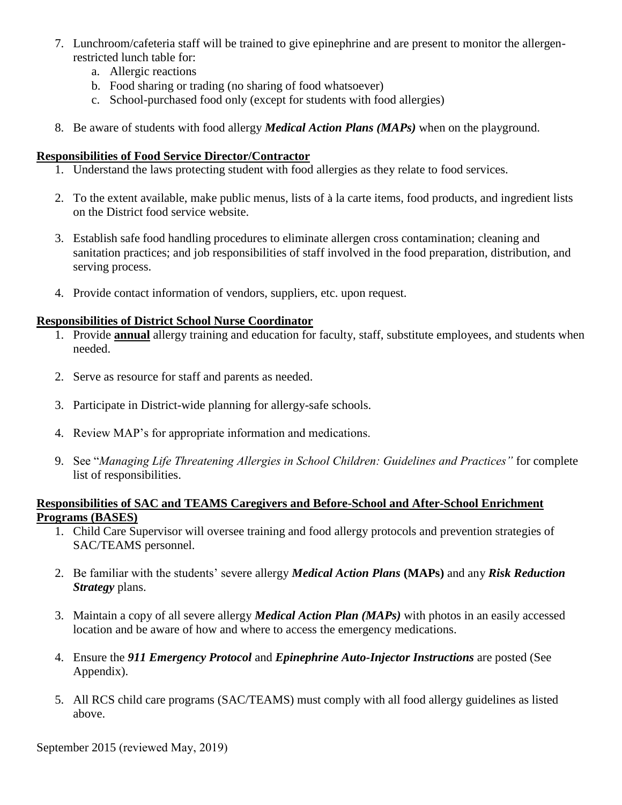- 7. Lunchroom/cafeteria staff will be trained to give epinephrine and are present to monitor the allergenrestricted lunch table for:
	- a. Allergic reactions
	- b. Food sharing or trading (no sharing of food whatsoever)
	- c. School-purchased food only (except for students with food allergies)
- 8. Be aware of students with food allergy *Medical Action Plans (MAPs)* when on the playground.

## **Responsibilities of Food Service Director/Contractor**

- 1. Understand the laws protecting student with food allergies as they relate to food services.
- 2. To the extent available, make public menus, lists of à la carte items, food products, and ingredient lists on the District food service website.
- 3. Establish safe food handling procedures to eliminate allergen cross contamination; cleaning and sanitation practices; and job responsibilities of staff involved in the food preparation, distribution, and serving process.
- 4. Provide contact information of vendors, suppliers, etc. upon request.

# **Responsibilities of District School Nurse Coordinator**

- 1. Provide **annual** allergy training and education for faculty, staff, substitute employees, and students when needed.
- 2. Serve as resource for staff and parents as needed.
- 3. Participate in District-wide planning for allergy-safe schools.
- 4. Review MAP's for appropriate information and medications.
- 9. See "*Managing Life Threatening Allergies in School Children: Guidelines and Practices"* for complete list of responsibilities.

## **Responsibilities of SAC and TEAMS Caregivers and Before-School and After-School Enrichment Programs (BASES)**

- 1. Child Care Supervisor will oversee training and food allergy protocols and prevention strategies of SAC/TEAMS personnel.
- 2. Be familiar with the students' severe allergy *Medical Action Plans* **(MAPs)** and any *Risk Reduction Strategy* plans.
- 3. Maintain a copy of all severe allergy *Medical Action Plan (MAPs)* with photos in an easily accessed location and be aware of how and where to access the emergency medications.
- 4. Ensure the *911 Emergency Protocol* and *Epinephrine Auto-Injector Instructions* are posted (See Appendix).
- 5. All RCS child care programs (SAC/TEAMS) must comply with all food allergy guidelines as listed above.

September 2015 (reviewed May, 2019)